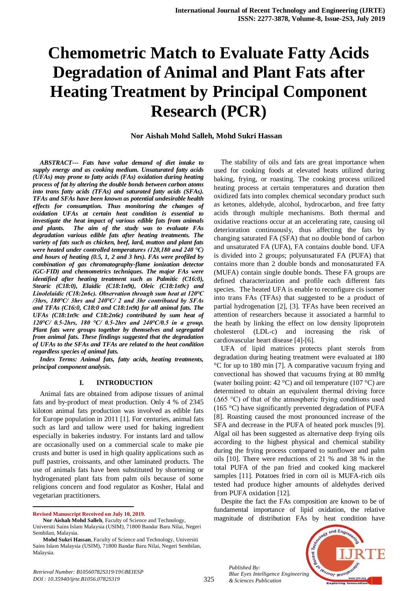# **Chemometric Match to Evaluate Fatty Acids Degradation of Animal and Plant Fats after Heating Treatment by Principal Component Research (PCR)**

# **Nor Aishah Mohd Salleh, Mohd Sukri Hassan**

*ABSTRACT--- Fats have value demand of diet intake to supply energy and as cooking medium. Unsaturated fatty acids (UFAs) may prone to fatty acids (FAs) oxidation during heating process of fat by altering the double bonds between carbon atoms into trans fatty acids (TFAs) and saturated fatty acids (SFAs). TFAs and SFAs have been known as potential undesirable health effects for consumption. Thus monitoring the changes of oxidation UFAs at certain heat condition is essential to investigate the heat impact of various edible fats from animals and plants. The aim of the study was to evaluate FAs degradation various edible fats after heating treatments. The variety of fats such as chicken, beef, lard, mutton and plant fats were heated under controlled temperatures (120,180 and 240 ℃) and hours of heating (0.5, 1, 2 and 3 hrs). FAs were profiled by combination of gas chromatography-flame ionization detector (GC-FID) and chemometrics techniques. The major FAs were identified after heating treatment such as Palmitic (C16:0), Stearic (C18:0), Elaidic (C18:1n9t), Oleic (C18:1n9c) and Linolelaidic (C18:2n6c). Observation through sum heat at 120℃ /3hrs, 180℃/ 3hrs and 240℃/ 2 and 3hr contributed by SFAs and TFAs (C16:0, C18:0 and C18:1n9t) for all animal fats. The UFAs (C18:1n9c and C18:2n6c) contributed by sum heat of 120℃/ 0.5-2hrs, 180 ℃/ 0.5-2hrs and 240℃/0.5 in a group. Plant fats were groups together by themselves and segregated from animal fats. These findings suggested that the degradation of UFAs to the SFAs and TFAs are related to the heat condition regardless species of animal fats.*

*Index Terms: Animal fats, fatty acids, heating treatments, principal component analysis.*

#### **I. INTRODUCTION**

Animal fats are obtained from adipose tissues of animal fats and by-product of meat production. Only 4 % of 2345 kiloton animal fats production was involved as edible fats for Europe population in 2011 [1]. For centuries, animal fats such as lard and tallow were used for baking ingredient especially in bakeries industry. For instants lard and tallow are occasionally used on a commercial scale to make pie crusts and butter is used in high quality applications such as puff pastries, croissants, and other laminated products. The use of animals fats have been substituted by shortening or hydrogenated plant fats from palm oils because of some religions concern and food regulator as Kosher, Halal and vegetarian practitioners.

**Revised Manuscript Received on July 10, 2019.**

 $\overline{a}$ 

The stability of oils and fats are great importance when used for cooking foods at elevated heats utilized during baking, frying, or roasting. The cooking process utilized heating process at certain temperatures and duration then oxidized fats into complex chemical secondary product such as ketones, aldehyde, alcohol, hydrocarbon, and free fatty acids through multiple mechanisms. Both thermal and oxidative reactions occur at an accelerating rate, causing oil deterioration continuously, thus affecting the fats by changing saturated FA (SFA) that no double bond of carbon and unsaturated FA (UFA), FA contains double bond. UFA is divided into 2 groups; polyunsaturated FA (PUFA) that contains more than 2 double bonds and monosaturated FA (MUFA) contain single double bonds. These FA groups are defined characterization and profile each different fats species. The heated UFA is enable to reconfigure cis isomer into trans FAs (TFAs) that suggested to be a product of partial hydrogenation [2], [3]. TFAs have been received an attention of researchers because it associated a harmful to the heath by linking the effect on low density lipoprotein cholesterol (LDL-c) and increasing the risk of cardiovascular heart disease [4]-[6].

UFA of lipid matrices protects plant sterols from degradation during heating treatment were evaluated at 180 °C for up to 180 min [7]. A comparative vacuum frying and convectional has showed that vacuums frying at 80 mmHg (water boiling point: 42 °C) and oil temperature (107 °C) are determined to obtain an equivalent thermal driving force (Δ65 °C) of that of the atmospheric frying conditions used (165 °C) have significantly prevented degradation of PUFA [8]. Roasting caused the most pronounced increase of the SFA and decrease in the PUFA of heated pork muscles [9]. Algal oil has been suggested as alternative deep frying oils according to the highest physical and chemical stability during the frying process compared to sunflower and palm oils [10]. There were reductions of 21 % and 38 % in the total PUFA of the pan fried and cooked king mackerel samples [11]. Potatoes fried in corn oil is MUFA-rich oils tested had produce higher amounts of aldehydes derived from PUFA oxidation [12].

Despite the fact the FAs composition are known to be of fundamental importance of lipid oxidation, the relative magnitude of distribution FAs by heat condition have

*Published By: Blue Eyes Intelligence Engineering & Sciences Publication* 



**Nor Aishah Mohd Salleh**, Faculty of Science and Technology, Universiti Sains Islam Malaysia (USIM), 71800 Bandar Baru Nilai, Negeri Sembilan, Malaysia.

**Mohd Sukri Hassan**, Faculty of Science and Technology, Universiti Sains Islam Malaysia (USIM), 71800 Bandar Baru Nilai, Negeri Sembilan, Malaysia.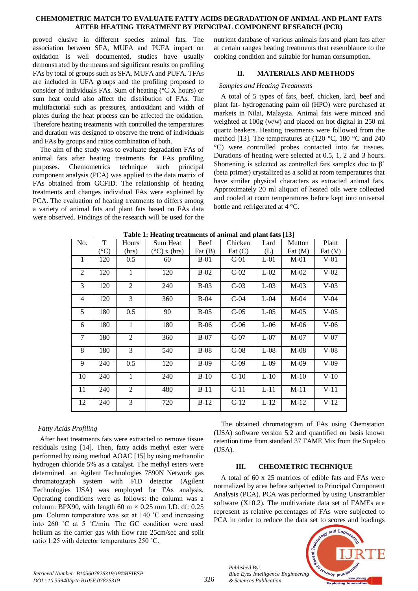### **CHEMOMETRIC MATCH TO EVALUATE FATTY ACIDS DEGRADATION OF ANIMAL AND PLANT FATS AFTER HEATING TREATMENT BY PRINCIPAL COMPONENT RESEARCH (PCR)**

proved elusive in different species animal fats. The association between SFA, MUFA and PUFA impact on oxidation is well documented, studies have usually demonstrated by the means and significant results on profiling FAs by total of groups such as SFA, MUFA and PUFA. TFAs are included in UFA groups and the profiling proposed to consider of individuals FAs. Sum of heating (°C X hours) or sum heat could also affect the distribution of FAs. The multifactorial such as pressures, antioxidant and width of plates during the heat process can be affected the oxidation. Therefore heating treatments with controlled the temperatures and duration was designed to observe the trend of individuals and FAs by groups and ratios combination of both.

The aim of the study was to evaluate degradation FAs of animal fats after heating treatments for FAs profiling purposes. Chemometrics technique such principal component analysis (PCA) was applied to the data matrix of FAs obtained from GCFID. The relationship of heating treatments and changes individual FAs were explained by PCA. The evaluation of heating treatments to differs among a variety of animal fats and plant fats based on FAs data were observed. Findings of the research will be used for the

nutrient database of various animals fats and plant fats after at certain ranges heating treatments that resemblance to the cooking condition and suitable for human consumption.

# **II. MATERIALS AND METHODS**

## *Samples and Heating Treatments*

A total of 5 types of fats, beef, chicken, lard, beef and plant fat- hydrogenating palm oil (HPO) were purchased at markets in Nilai, Malaysia. Animal fats were minced and weighted at 100g (w/w) and placed on hot digital in 250 ml quartz beakers. Heating treatments were followed from the method [13]. The temperatures at (120 °C, 180 °C and 240 °C) were controlled probes contacted into fat tissues. Durations of heating were selected at 0.5, 1, 2 and 3 hours. Shortening is selected as controlled fats samples due to β' (beta primer) crystalized as a solid at room temperatures that have similar physical characters as extracted animal fats. Approximately 20 ml aliquot of heated oils were collected and cooled at room temperatures before kept into universal bottle and refrigerated at 4 °C.

| <b>Table 1: Heating treatments of animal and plant fats [13]</b> |                |              |                       |             |           |        |           |                        |
|------------------------------------------------------------------|----------------|--------------|-----------------------|-------------|-----------|--------|-----------|------------------------|
| No.                                                              | T              | Hours        | Sum Heat              | <b>Beef</b> | Chicken   | Lard   | Mutton    | Plant                  |
|                                                                  | $C^{\circ}$ C) | (hrs)        | $(^{\circ}C)$ x (hrs) | Fat $(B)$   | Fat $(C)$ | (L)    | Fat $(M)$ | $\text{Fat}(\text{V})$ |
| 1                                                                | 120            | 0.5          | 60                    | $B-01$      | $C-01$    | $L-01$ | $M-01$    | $V-01$                 |
| 2                                                                | 120            | 1            | 120                   | $B-02$      | $C-02$    | $L-02$ | $M-02$    | $V-02$                 |
| 3                                                                | 120            | 2            | 240                   | $B-03$      | $C-03$    | $L-03$ | $M-03$    | $V-03$                 |
| 4                                                                | 120            | 3            | 360                   | $B-04$      | $C-04$    | $L-04$ | $M-04$    | $V-04$                 |
| 5                                                                | 180            | 0.5          | 90                    | $B-05$      | $C-05$    | $L-05$ | $M-05$    | $V-05$                 |
| 6                                                                | 180            | $\mathbf{1}$ | 180                   | $B-06$      | $C-06$    | $L-06$ | $M-06$    | $V-06$                 |
| $\tau$                                                           | 180            | 2            | 360                   | $B-07$      | $C-07$    | $L-07$ | $M-07$    | $V-07$                 |
| 8                                                                | 180            | 3            | 540                   | $B-08$      | $C-08$    | $L-08$ | $M-08$    | $V-08$                 |
| 9                                                                | 240            | 0.5          | 120                   | $B-09$      | $C-09$    | $L-09$ | $M-09$    | $V-09$                 |
| 10                                                               | 240            | $\mathbf{1}$ | 240                   | $B-10$      | $C-10$    | $L-10$ | $M-10$    | $V-10$                 |
| 11                                                               | 240            | 2            | 480                   | $B-11$      | $C-11$    | $L-11$ | $M-11$    | $V-11$                 |
| 12                                                               | 240            | 3            | 720                   | $B-12$      | $C-12$    | $L-12$ | $M-12$    | $V-12$                 |

# *Fatty Acids Profiling*

After heat treatments fats were extracted to remove tissue residuals using [14]. Then, fatty acids methyl ester were performed by using method AOAC [15] by using methanolic hydrogen chloride 5% as a catalyst. The methyl esters were determined an Agilent Technologies 7890N Network gas chromatograph system with FID detector (Agilent Technologies USA) was employed for FAs analysis. Operating conditions were as follows: the column was a column: BPX90, with length 60 m  $\times$  0.25 mm I.D. df: 0.25 µm. Column temperature was set at 140 ˚C and increasing into 260 ˚C at 5 ˚C/min. The GC condition were used helium as the carrier gas with flow rate 25cm/sec and spilt ratio 1:25 with detector temperatures 250 ˚C.

The obtained chromatogram of FAs using Chemstation (USA) software version 5.2 and quantified on basis known retention time from standard 37 FAME Mix from the Supelco (USA).

#### **III. CHEOMETRIC TECHNIQUE**

A total of 60 x 25 matrices of edible fats and FAs were normalized by area before subjected to Principal Component Analysis (PCA). PCA was performed by using Unscrambler software (X10.2). The multivariate data set of FAMEs are represent as relative percentages of FAs were subjected to PCA in order to reduce the data set to scores and loadings



326

*Published By:*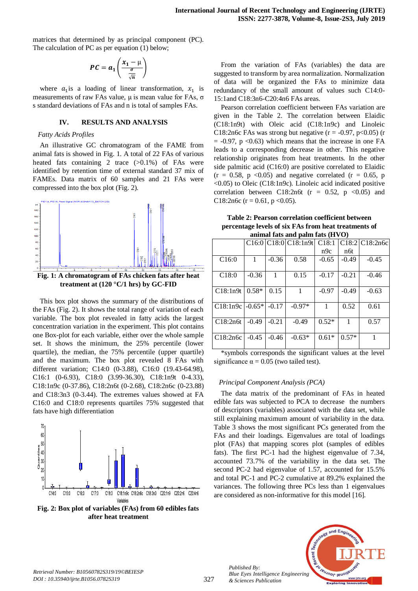matrices that determined by as principal component (PC). The calculation of PC as per equation (1) below;

$$
PC = a_1 \left( \frac{x_1 - \mu}{\frac{\sigma}{\sqrt{n}}} \right)
$$

where  $a_1$  is a loading of linear transformation,  $x_1$  is measurements of raw FAs value,  $\mu$  is mean value for FAs,  $\sigma$ s standard deviations of FAs and n is total of samples FAs.

#### **IV. RESULTS AND ANALYSIS**

## *Fatty Acids Profiles*

An illustrative GC chromatogram of the FAME from animal fats is showed in Fig. 1. A total of 22 FAs of various heated fats containing 2 trace  $(>0.1\%)$  of FAs were identified by retention time of external standard 37 mix of FAMEs. Data matrix of 60 samples and 21 FAs were compressed into the box plot (Fig. 2).



**Fig. 1: A chromatogram of FAs chicken fats after heat treatment at (120 °C/1 hrs) by GC-FID**

This box plot shows the summary of the distributions of the FAs (Fig. 2). It shows the total range of variation of each variable. The box plot revealed in fatty acids the largest concentration variation in the experiment. This plot contains one Box-plot for each variable, either over the whole sample set. It shows the minimum, the 25% percentile (lower quartile), the median, the 75% percentile (upper quartile) and the maximum. The box plot revealed 8 FAs with different variation; C14:0 (0-3.88), C16:0 (19.43-64.98), C16:1 (0-6.93), C18:0 (3.99-36.30), C18:1n9t 0-4.33), C18:1n9c (0-37.86), C18:2n6t (0-2.68), C18:2n6c (0-23.88) and C18:3n3 (0-3.44). The extremes values showed at FA C16:0 and C18:0 represents quartiles 75% suggested that fats have high differentiation



**Fig. 2: Box plot of variables (FAs) from 60 edibles fats after heat treatment**

From the variation of FAs (variables) the data are suggested to transform by area normalization. Normalization of data will be organized the FAs to minimize data redundancy of the small amount of values such C14:0- 15:1and C18:3n6-C20:4n6 FAs areas.

Pearson correlation coefficient between FAs variation are given in the Table 2. The correlation between Elaidic (C18:1n9t) with Oleic acid (C18:1n9c) and Linoleic C18:2n6c FAs was strong but negative ( $r = -0.97$ ,  $p < 0.05$ ) (r  $= -0.97$ , p <0.63) which means that the increase in one FA leads to a corresponding decrease in other. This negative relationship originates from heat treatments. In the other side palmitic acid (C16:0) are positive correlated to Elaidic  $(r = 0.58, p \le 0.05)$  and negative correlated  $(r = 0.65, p$ <0.05) to Oleic (C18:1n9c). Linoleic acid indicated positive correlation between C18:2n6t ( $r = 0.52$ ,  $p \le 0.05$ ) and C18:2n6c ( $r = 0.61$ ,  $p < 0.05$ ).

**Table 2: Pearson correlation coefficient between percentage levels of six FAs from heat treatments of animal fats and palm fats (HVO)**

|          |          |         | C16:0 C18:0 C18:1n9t | C18:1   |         | $C18:2$ C18:2n6c |
|----------|----------|---------|----------------------|---------|---------|------------------|
|          |          |         |                      | n9c     | n6t     |                  |
| C16:0    | 1        | $-0.36$ | 0.58                 | $-0.65$ | $-0.49$ | $-0.45$          |
|          |          |         |                      |         |         |                  |
| C18:0    | $-0.36$  | 1       | 0.15                 | $-0.17$ | $-0.21$ | $-0.46$          |
|          |          |         |                      |         |         |                  |
| C18:1n9t | $0.58*$  | 0.15    | 1                    | $-0.97$ | $-0.49$ | $-0.63$          |
|          |          |         |                      |         |         |                  |
| C18:1n9c | $-0.65*$ | $-0.17$ | $-0.97*$             | 1       | 0.52    | 0.61             |
|          |          |         |                      |         |         |                  |
| C18:2n6t | $-0.49$  | $-0.21$ | $-0.49$              | $0.52*$ | 1       | 0.57             |
|          |          |         |                      |         |         |                  |
| C18:2n6c | $-0.45$  | $-0.46$ | $-0.63*$             | $0.61*$ | $0.57*$ |                  |
|          |          |         |                      |         |         |                  |

\*symbols corresponds the significant values at the level significance  $\alpha = 0.05$  (two tailed test).

#### *Principal Component Analysis (PCA)*

The data matrix of the predominant of FAs in heated edible fats was subjected to PCA to decrease the numbers of descriptors (variables) associated with the data set, while still explaining maximum amount of variability in the data. Table 3 shows the most significant PCs generated from the FAs and their loadings. Eigenvalues are total of loadings plot (FAs) that mapping scores plot (samples of edibles fats). The first PC-1 had the highest eigenvalue of 7.34, accounted 73.7% of the variability in the data set. The second PC-2 had eigenvalue of 1.57, accounted for 15.5% and total PC-1 and PC-2 cumulative at 89.2% explained the variances. The following three PCs less than 1 eigenvalues are considered as non-informative for this model [16].



*Published By:*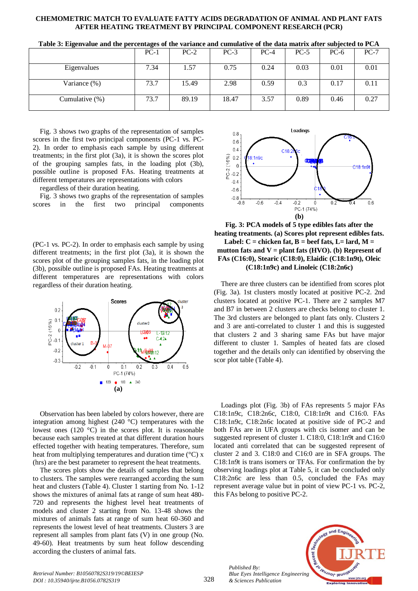#### **CHEMOMETRIC MATCH TO EVALUATE FATTY ACIDS DEGRADATION OF ANIMAL AND PLANT FATS AFTER HEATING TREATMENT BY PRINCIPAL COMPONENT RESEARCH (PCR)**

| $\sim$            | $\cdot$ |        |        |        |        | . .    |        |
|-------------------|---------|--------|--------|--------|--------|--------|--------|
|                   | $PC-1$  | $PC-2$ | $PC-3$ | $PC-4$ | $PC-5$ | $PC-6$ | $PC-7$ |
| Eigenvalues       | 7.34    | 1.57   | 0.75   | 0.24   | 0.03   | 0.01   | 0.01   |
| Variance (%)      | 73.7    | 15.49  | 2.98   | 0.59   | 0.3    | 0.17   | 0.11   |
| Cumulative $(\%)$ | 73.7    | 89.19  | 18.47  | 3.57   | 0.89   | 0.46   | 0.27   |

**Table 3: Eigenvalue and the percentages of the variance and cumulative of the data matrix after subjected to PCA**

Fig. 3 shows two graphs of the representation of samples scores in the first two principal components (PC-1 vs. PC-2). In order to emphasis each sample by using different treatments; in the first plot (3a), it is shown the scores plot of the grouping samples fats, in the loading plot (3b), possible outline is proposed FAs. Heating treatments at different temperatures are representations with colors

regardless of their duration heating.

Fig. 3 shows two graphs of the representation of samples scores in the first two principal components

(PC-1 vs. PC-2). In order to emphasis each sample by using different treatments; in the first plot (3a), it is shown the scores plot of the grouping samples fats, in the loading plot (3b), possible outline is proposed FAs. Heating treatments at different temperatures are representations with colors regardless of their duration heating.



Observation has been labeled by colors however, there are integration among highest (240 °C) temperatures with the lowest ones (120 °C) in the scores plot. It is reasonable because each samples treated at that different duration hours effected together with heating temperatures. Therefore, sum heat from multiplying temperatures and duration time (°C) x (hrs) are the best parameter to represent the heat treatments.

The scores plots show the details of samples that belong to clusters. The samples were rearranged according the sum heat and clusters (Table 4). Cluster 1 starting from No. 1-12 shows the mixtures of animal fats at range of sum heat 480- 720 and represents the highest level heat treatments of models and cluster 2 starting from No. 13-48 shows the mixtures of animals fats at range of sum heat 60-360 and represents the lowest level of heat treatments. Clusters 3 are represent all samples from plant fats (V) in one group (No. 49-60). Heat treatments by sum heat follow descending according the clusters of animal fats.



**Fig. 3: PCA models of 5 type edibles fats after the heating treatments. (a) Scores plot represent edibles fats.**  Label:  $C =$  chicken fat,  $B =$  beef fats,  $L =$  lard,  $M =$ **mutton fats and V = plant fats (HVO). (b) Represent of FAs (C16:0), Stearic (C18:0), Elaidic (C18:1n9t), Oleic (C18:1n9c) and Linoleic (C18:2n6c)**

There are three clusters can be identified from scores plot (Fig. 3a). 1st clusters mostly located at positive PC-2. 2nd clusters located at positive PC-1. There are 2 samples M7 and B7 in between 2 clusters are checks belong to cluster 1. The 3rd clusters are belonged to plant fats only. Clusters 2 and 3 are anti-correlated to cluster 1 and this is suggested that clusters 2 and 3 sharing same FAs but have major different to cluster 1. Samples of heated fats are closed together and the details only can identified by observing the scor plot table (Table 4).

Loadings plot (Fig. 3b) of FAs represents 5 major FAs C18:1n9c, C18:2n6c, C18:0, C18:1n9t and C16:0. FAs C18:1n9c, C18:2n6c located at positive side of PC-2 and both FAs are in UFA groups with cis isomer and can be suggested represent of cluster 1. C18:0, C18:1n9t and C16:0 located anti correlated that can be suggested represent of cluster 2 and 3. C18:0 and C16:0 are in SFA groups. The C18:1n9t is trans isomers or TFAs. For confirmation the by observing loadings plot at Table 5, it can be concluded only C18:2n6c are less than 0.5, concluded the FAs may represent average value but in point of view PC-1 vs. PC-2, this FAs belong to positive PC-2.

*Published By: Blue Eyes Intelligence Engineering & Sciences Publication* 

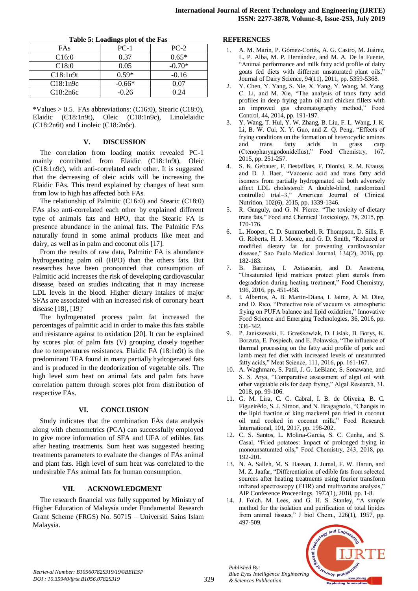| Table 5. Loadings plot of the Pas |          |          |  |  |  |  |
|-----------------------------------|----------|----------|--|--|--|--|
| FAs                               | $PC-1$   | $PC-2$   |  |  |  |  |
| C <sub>16:0</sub>                 | 0.37     | $0.65*$  |  |  |  |  |
| C18:0                             | 0.05     | $-0.70*$ |  |  |  |  |
| C18:1n9t                          | $0.59*$  | $-0.16$  |  |  |  |  |
| C18:1n9c                          | $-0.66*$ | 0.07     |  |  |  |  |
| C18:2n6c                          | $-0.26$  | 0.24     |  |  |  |  |

#### **Table 5: Loadings plot of the Fas**

\*Values  $> 0.5$ . FAs abbreviations: (C16:0), Stearic (C18:0), Elaidic (C18:1n9t), Oleic (C18:1n9c), Linolelaidic (C18:2n6t) and Linoleic (C18:2n6c).

#### **V. DISCUSSION**

The correlation from loading matrix revealed PC-1 mainly contributed from Elaidic (C18:1n9t), Oleic (C18:1n9c), with anti-correlated each other. It is suggested that the decreasing of oleic acids will be increasing the Elaidic FAs. This trend explained by changes of heat sum from low to high has affected both FAs.

The relationship of Palmitic (C16:0) and Stearic (C18:0) FAs also anti-correlated each other by explained different type of animals fats and HPO, that the Stearic FA is presence abundance in the animal fats. The Palmitic FAs naturally found in some animal products like meat and dairy, as well as in palm and coconut oils [17].

From the results of raw data, Palmitic FA is abundance hydrogenating palm oil (HPO) than the others fats. But researches have been pronounced that consumption of Palmitic acid increases the risk of developing cardiovascular disease, based on studies indicating that it may increase LDL levels in the blood. Higher dietary intakes of major SFAs are associated with an increased risk of coronary heart disease [18], [19].

The hydrogenated process palm fat increased the percentages of palmitic acid in order to make this fats stabile and resistance against to oxidation [20]. It can be explained by scores plot of palm fats (V) grouping closely together due to temperatures resistances. Elaidic FA (18:1n9t) is the predominant TFA found in many partially hydrogenated fats and is produced in the deodorization of vegetable oils. The high level sum heat on animal fats and palm fats have correlation pattern through scores plot from distribution of respective FAs.

#### **VI. CONCLUSION**

Study indicates that the combination FAs data analysis along with chemometrics (PCA) can successfully employed to give more information of SFA and UFA of edibles fats after heating treatments. Sum heat was suggested heating treatments parameters to evaluate the changes of FAs animal and plant fats. High level of sum heat was correlated to the undesirable FAs animal fats for human consumption.

#### **VII. ACKNOWLEDGMENT**

The research financial was fully supported by Ministry of Higher Education of Malaysia under Fundamental Research Grant Scheme (FRGS) No. 50715 – Universiti Sains Islam Malaysia.

#### **REFERENCES**

- 1. A. M. Marín, P. Gómez-Cortés, A. G. Castro, M. Juárez, L. P. Alba, M. P. Hernández, and M. A. De la Fuente, "Animal performance and milk fatty acid profile of dairy goats fed diets with different unsaturated plant oils," Journal of Dairy Science, 94(11), 2011, pp. 5359-5368.
- 2. Y. Chen, Y. Yang, S. Nie, X. Yang, Y. Wang, M. Yang, C. Li, and M. Xie, "The analysis of trans fatty acid profiles in deep frying palm oil and chicken fillets with an improved gas chromatography method," Food Control, 44, 2014, pp. 191-197.
- 3. Y. Wang, T. Hui, Y. W. Zhang, B. Liu, F. L. Wang, J. K. Li, B. W. Cui, X. Y. Guo, and Z. Q. Peng, "Effects of frying conditions on the formation of heterocyclic amines and trans fatty acids in grass carp (Ctenopharyngodonidellus)," Food Chemistry, 167, 2015, pp. 251-257.
- 4. S. K. Gebauer, F. Destaillats, F. Dionisi, R. M. Krauss, and D. J. Baer, "Vaccenic acid and trans fatty acid isomers from partially hydrogenated oil both adversely affect LDL cholesterol: A double-blind, randomized controlled trial–3," American Journal of Clinical Nutrition, 102(6), 2015, pp. 1339-1346.
- 5. R. Ganguly, and G. N. Pierce. "The toxicity of dietary trans fats," Food and Chemical Toxicology, 78, 2015, pp. 170-176.
- 6. L. Hooper, C. D. Summerbell, R. Thompson, D. Sills, F. G. Roberts, H. J. Moore, and G. D. Smith, "Reduced or modified dietary fat for preventing cardiovascular disease," Sao Paulo Medical Journal, 134(2), 2016, pp. 182-183.
- 7. B. Barriuso, I. Astiasarán, and D. Ansorena, "Unsaturated lipid matrices protect plant sterols from degradation during heating treatment," Food Chemistry, 196, 2016, pp. 451-458.
- 8. I. Albertos, A. B. Martin-Diana, I. Jaime, A. M. Diez, and D. Rico, "Protective role of vacuum vs. atmospheric frying on PUFA balance and lipid oxidation," Innovative Food Science and Emerging Technologies, 36, 2016, pp. 336-342.
- 9. P. Janiszewski, E. Grześkowiak, D. Lisiak, B. Borys, K. Borzuta, E. Pospiech, and E. Poławska, "The influence of thermal processing on the fatty acid profile of pork and lamb meat fed diet with increased levels of unsaturated fatty acids," Meat Science, 111, 2016, pp. 161-167.
- 10. A. Waghmare, S. Patil, J. G. LeBlanc, S. Sonawane, and S. S. Arya, "Comparative assessment of algal oil with other vegetable oils for deep frying," Algal Research, 31, 2018, pp. 99-106.
- 11. G. M. Lira, C. C. Cabral, I. B. de Oliveira, B. C. Figueirêdo, S. J. Simon, and N. Bragagnolo, "Changes in the lipid fraction of king mackerel pan fried in coconut oil and cooked in coconut milk," Food Research International, 101, 2017, pp. 198-202.
- 12. C. S. Santos, L. Molina-Garcia, S. C. Cunha, and S. Casal, "Fried potatoes: Impact of prolonged frying in monounsaturated oils," Food Chemistry, 243, 2018, pp. 192-201.
- 13. N. A. Salleh, M. S. Hassan, J. Jumal, F. W. Harun, and M. Z. Jaafar, "Differentiation of edible fats from selected sources after heating treatments using fourier transform infrared spectroscopy (FTIR) and multivariate analysis," AIP Conference Proceedings, 1972(1), 2018, pp. 1-8.
- 14. J. Folch, M. Lees, and G. H. S. Stanley, "A simple method for the isolation and purification of total lipides from animal tissues," J biol Chem., 226(1), 1957, pp. 497-509.



*Published By:*